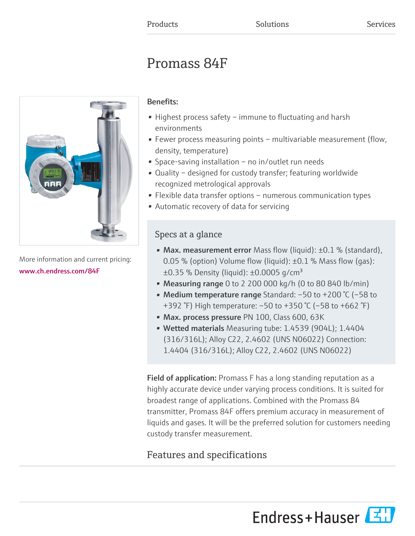# Promass 84F



More information and current pricing: [www.ch.endress.com/84F](https://www.ch.endress.com/84F)

## Benefits:

- Highest process safety immune to fluctuating and harsh environments
- Fewer process measuring points multivariable measurement (flow, density, temperature)
- Space-saving installation no in/outlet run needs
- Quality designed for custody transfer; featuring worldwide recognized metrological approvals
- Flexible data transfer options numerous communication types
- Automatic recovery of data for servicing

## Specs at a glance

- Max. measurement error Mass flow (liquid):  $\pm 0.1$  % (standard), 0.05 % (option) Volume flow (liquid):  $\pm$ 0.1 % Mass flow (qas):  $\pm 0.35$  % Density (liquid):  $\pm 0.0005$  g/cm<sup>3</sup>
- Measuring range 0 to 2 200 000 kg/h (0 to 80 840 lb/min)
- Medium temperature range Standard: –50 to +200 °C (–58 to +392 °F) High temperature: –50 to +350 °C (–58 to +662 °F)
- Max. process pressure PN 100, Class 600, 63K
- Wetted materials Measuring tube: 1.4539 (904L); 1.4404 (316/316L); Alloy C22, 2.4602 (UNS N06022) Connection: 1.4404 (316/316L); Alloy C22, 2.4602 (UNS N06022)

Field of application: Promass F has a long standing reputation as a highly accurate device under varying process conditions. It is suited for broadest range of applications. Combined with the Promass 84 transmitter, Promass 84F offers premium accuracy in measurement of liquids and gases. It will be the preferred solution for customers needing custody transfer measurement.

## Features and specifications

Endress+Hauser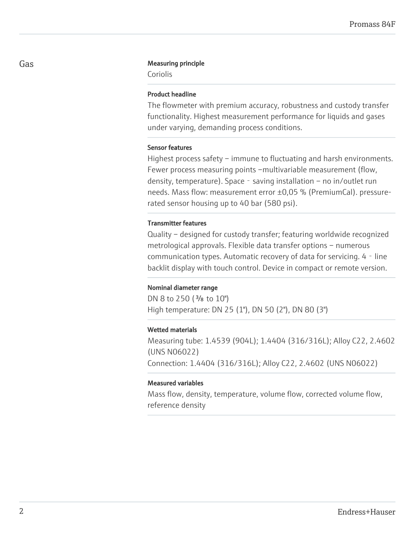#### Gas **Gas** Measuring principle

Coriolis

#### Product headline

The flowmeter with premium accuracy, robustness and custody transfer functionality. Highest measurement performance for liquids and gases under varying, demanding process conditions.

#### Sensor features

Highest process safety – immune to fluctuating and harsh environments. Fewer process measuring points –multivariable measurement (flow, density, temperature). Space  $-$  saving installation  $-$  no in/outlet run needs. Mass flow: measurement error ±0,05 % (PremiumCal). pressurerated sensor housing up to 40 bar (580 psi).

#### Transmitter features

Quality – designed for custody transfer; featuring worldwide recognized metrological approvals. Flexible data transfer options – numerous communication types. Automatic recovery of data for servicing. 4 - line backlit display with touch control. Device in compact or remote version.

#### Nominal diameter range

DN 8 to 250 ( $\frac{3}{8}$  to 10") High temperature: DN 25 (1"), DN 50 (2"), DN 80 (3")

#### Wetted materials

Measuring tube: 1.4539 (904L); 1.4404 (316/316L); Alloy C22, 2.4602 (UNS N06022) Connection: 1.4404 (316/316L); Alloy C22, 2.4602 (UNS N06022)

#### Measured variables

Mass flow, density, temperature, volume flow, corrected volume flow, reference density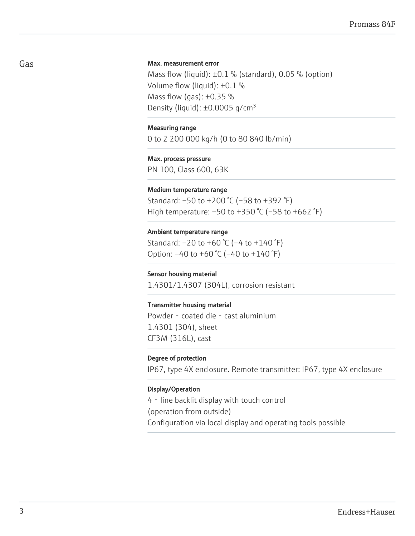#### Max. measurement error

Mass flow (liquid):  $\pm 0.1$  % (standard), 0.05 % (option) Volume flow (liquid): ±0.1 % Mass flow (gas):  $\pm 0.35$  % Density (liquid):  $\pm 0.0005$  q/cm<sup>3</sup>

#### Measuring range

0 to 2 200 000 kg/h (0 to 80 840 lb/min)

#### Max. process pressure

PN 100, Class 600, 63K

#### Medium temperature range

Standard: –50 to +200 °C (–58 to +392 °F) High temperature: –50 to +350 °C (–58 to +662 °F)

#### Ambient temperature range

Standard: –20 to +60 °C (–4 to +140 °F) Option: –40 to +60 °C (–40 to +140 °F)

#### Sensor housing material

1.4301/1.4307 (304L), corrosion resistant

#### Transmitter housing material

Powder - coated die - cast aluminium 1.4301 (304), sheet CF3M (316L), cast

#### Degree of protection

IP67, type 4X enclosure. Remote transmitter: IP67, type 4X enclosure

#### Display/Operation

4 - line backlit display with touch control (operation from outside) Configuration via local display and operating tools possible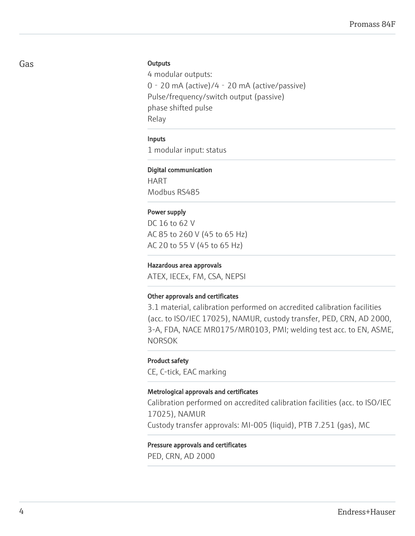#### **Outputs**

4 modular outputs: 0‐20 mA (active)/4‐20 mA (active/passive) Pulse/frequency/switch output (passive) phase shifted pulse Relay

#### Inputs

1 modular input: status

#### Digital communication

HART Modbus RS485

#### Power supply

DC 16 to 62 V AC 85 to 260 V (45 to 65 Hz) AC 20 to 55 V (45 to 65 Hz)

#### Hazardous area approvals

ATEX, IECEx, FM, CSA, NEPSI

#### Other approvals and certificates

3.1 material, calibration performed on accredited calibration facilities (acc. to ISO/IEC 17025), NAMUR, custody transfer, PED, CRN, AD 2000, 3-A, FDA, NACE MR0175/MR0103, PMI; welding test acc. to EN, ASME, NORSOK

#### Product safety

CE, C-tick, EAC marking

#### Metrological approvals and certificates

Calibration performed on accredited calibration facilities (acc. to ISO/IEC 17025), NAMUR Custody transfer approvals: MI-005 (liquid), PTB 7.251 (gas), MC

#### Pressure approvals and certificates

PED, CRN, AD 2000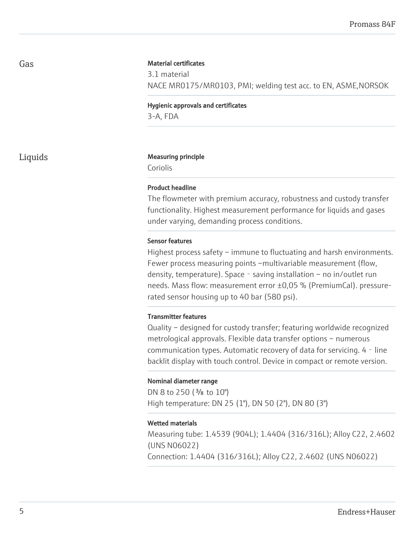#### Material certificates

3.1 material NACE MR0175/MR0103, PMI; welding test acc. to EN, ASME,NORSOK

Hygienic approvals and certificates 3-A, FDA

#### Liquids **Measuring principle**

Coriolis

#### Product headline

The flowmeter with premium accuracy, robustness and custody transfer functionality. Highest measurement performance for liquids and gases under varying, demanding process conditions.

#### Sensor features

Highest process safety – immune to fluctuating and harsh environments. Fewer process measuring points –multivariable measurement (flow, density, temperature). Space - saving installation – no in/outlet run needs. Mass flow: measurement error ±0,05 % (PremiumCal). pressurerated sensor housing up to 40 bar (580 psi).

#### Transmitter features

Quality – designed for custody transfer; featuring worldwide recognized metrological approvals. Flexible data transfer options – numerous communication types. Automatic recovery of data for servicing. 4 - line backlit display with touch control. Device in compact or remote version.

#### Nominal diameter range

DN 8 to 250 ( $\frac{3}{8}$  to 10") High temperature: DN 25 (1"), DN 50 (2"), DN 80 (3")

#### Wetted materials

Measuring tube: 1.4539 (904L); 1.4404 (316/316L); Alloy C22, 2.4602 (UNS N06022)

Connection: 1.4404 (316/316L); Alloy C22, 2.4602 (UNS N06022)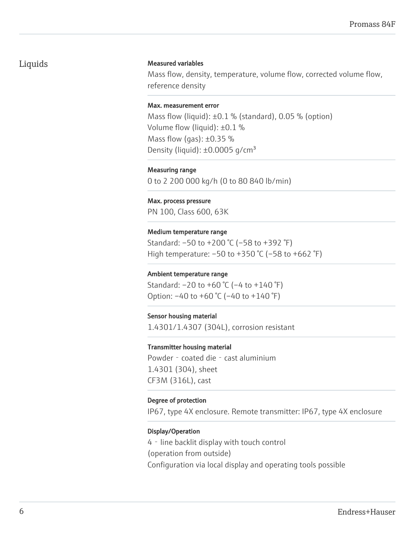## Liquids

#### Measured variables

Mass flow, density, temperature, volume flow, corrected volume flow, reference density

#### Max. measurement error

Mass flow (liquid):  $\pm 0.1$  % (standard), 0.05 % (option) Volume flow (liquid): ±0.1 % Mass flow (gas):  $\pm 0.35$  % Density (liquid):  $\pm 0.0005$  g/cm<sup>3</sup>

Measuring range 0 to 2 200 000 kg/h (0 to 80 840 lb/min)

Max. process pressure PN 100, Class 600, 63K

Medium temperature range Standard: –50 to +200 °C (–58 to +392 °F) High temperature: –50 to +350 °C (–58 to +662 °F)

#### Ambient temperature range

Standard: –20 to +60 °C (–4 to +140 °F) Option: –40 to +60 °C (–40 to +140 °F)

#### Sensor housing material

1.4301/1.4307 (304L), corrosion resistant

#### Transmitter housing material

Powder - coated die - cast aluminium 1.4301 (304), sheet CF3M (316L), cast

#### Degree of protection

IP67, type 4X enclosure. Remote transmitter: IP67, type 4X enclosure

#### Display/Operation

4‐line backlit display with touch control (operation from outside) Configuration via local display and operating tools possible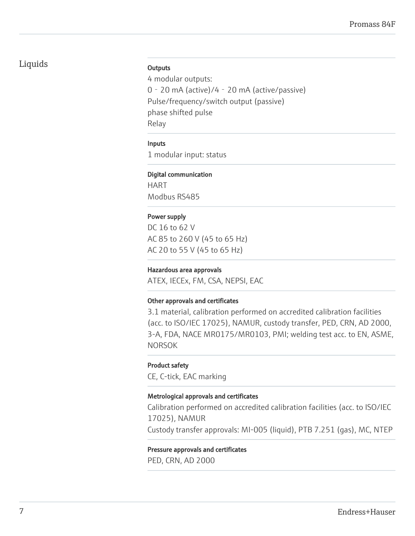## Liquids

#### **Outputs**

4 modular outputs: 0‐20 mA (active)/4‐20 mA (active/passive) Pulse/frequency/switch output (passive) phase shifted pulse Relay

#### Inputs

1 modular input: status

#### Digital communication

HART Modbus RS485

#### Power supply

DC 16 to 62 V AC 85 to 260 V (45 to 65 Hz) AC 20 to 55 V (45 to 65 Hz)

#### Hazardous area approvals

ATEX, IECEx, FM, CSA, NEPSI, EAC

#### Other approvals and certificates

3.1 material, calibration performed on accredited calibration facilities (acc. to ISO/IEC 17025), NAMUR, custody transfer, PED, CRN, AD 2000, 3-A, FDA, NACE MR0175/MR0103, PMI; welding test acc. to EN, ASME, NORSOK

#### Product safety

CE, C-tick, EAC marking

#### Metrological approvals and certificates

Calibration performed on accredited calibration facilities (acc. to ISO/IEC 17025), NAMUR Custody transfer approvals: MI-005 (liquid), PTB 7.251 (gas), MC, NTEP

#### Pressure approvals and certificates

PED, CRN, AD 2000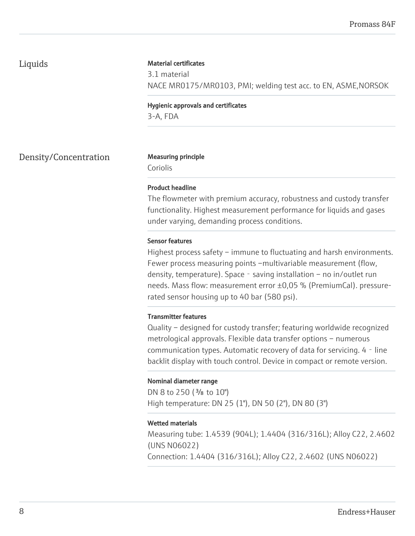## Liquids

#### Material certificates

3.1 material NACE MR0175/MR0103, PMI; welding test acc. to EN, ASME,NORSOK

Hygienic approvals and certificates 3-A, FDA

Density/Concentration Measuring principle

Coriolis

#### Product headline

The flowmeter with premium accuracy, robustness and custody transfer functionality. Highest measurement performance for liquids and gases under varying, demanding process conditions.

#### Sensor features

Highest process safety – immune to fluctuating and harsh environments. Fewer process measuring points –multivariable measurement (flow, density, temperature). Space - saving installation – no in/outlet run needs. Mass flow: measurement error ±0,05 % (PremiumCal). pressurerated sensor housing up to 40 bar (580 psi).

#### Transmitter features

Quality – designed for custody transfer; featuring worldwide recognized metrological approvals. Flexible data transfer options – numerous communication types. Automatic recovery of data for servicing. 4 - line backlit display with touch control. Device in compact or remote version.

#### Nominal diameter range

DN 8 to 250 ( $\frac{3}{8}$  to 10") High temperature: DN 25 (1"), DN 50 (2"), DN 80 (3")

#### Wetted materials

Measuring tube: 1.4539 (904L); 1.4404 (316/316L); Alloy C22, 2.4602 (UNS N06022)

Connection: 1.4404 (316/316L); Alloy C22, 2.4602 (UNS N06022)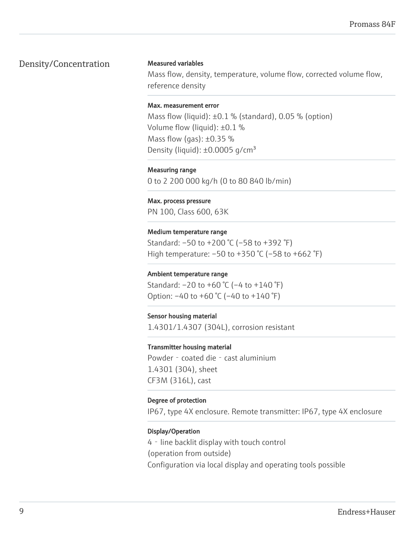## Density/Concentration

#### Measured variables

Mass flow, density, temperature, volume flow, corrected volume flow, reference density

#### Max. measurement error

Mass flow (liquid):  $\pm 0.1$  % (standard), 0.05 % (option) Volume flow (liquid): ±0.1 % Mass flow (gas):  $\pm 0.35$  % Density (liquid):  $\pm 0.0005$  g/cm<sup>3</sup>

Measuring range 0 to 2 200 000 kg/h (0 to 80 840 lb/min)

Max. process pressure PN 100, Class 600, 63K

Medium temperature range Standard: –50 to +200 °C (–58 to +392 °F) High temperature: –50 to +350 °C (–58 to +662 °F)

#### Ambient temperature range

Standard: –20 to +60 °C (–4 to +140 °F) Option: –40 to +60 °C (–40 to +140 °F)

#### Sensor housing material

1.4301/1.4307 (304L), corrosion resistant

#### Transmitter housing material

Powder - coated die - cast aluminium 1.4301 (304), sheet CF3M (316L), cast

#### Degree of protection

IP67, type 4X enclosure. Remote transmitter: IP67, type 4X enclosure

#### Display/Operation

4‐line backlit display with touch control (operation from outside) Configuration via local display and operating tools possible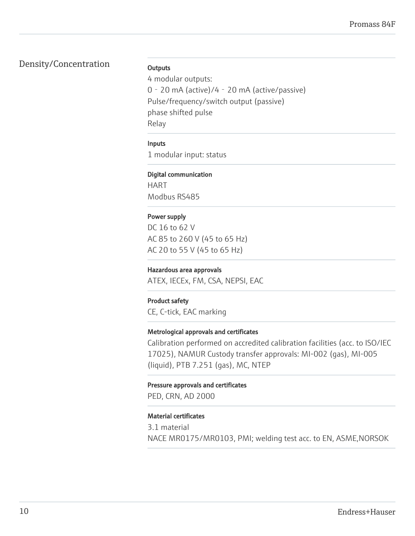## Density/Concentration

#### **Outputs**

4 modular outputs: 0‐20 mA (active)/4‐20 mA (active/passive) Pulse/frequency/switch output (passive) phase shifted pulse Relay

#### Inputs

1 modular input: status

#### Digital communication

HART Modbus RS485

### Power supply

DC 16 to 62 V AC 85 to 260 V (45 to 65 Hz) AC 20 to 55 V (45 to 65 Hz)

#### Hazardous area approvals

ATEX, IECEx, FM, CSA, NEPSI, EAC

#### Product safety

CE, C-tick, EAC marking

#### Metrological approvals and certificates

Calibration performed on accredited calibration facilities (acc. to ISO/IEC 17025), NAMUR Custody transfer approvals: MI-002 (gas), MI-005 (liquid), PTB 7.251 (gas), MC, NTEP

#### Pressure approvals and certificates

PED, CRN, AD 2000

#### Material certificates

3.1 material NACE MR0175/MR0103, PMI; welding test acc. to EN, ASME,NORSOK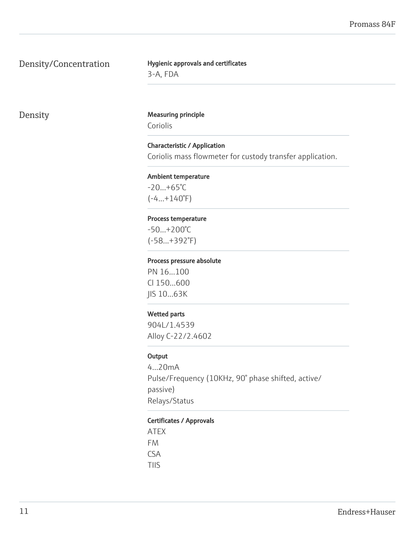## Density/Concentration

## Hygienic approvals and certificates 3-A, FDA

## Density Measuring principle

Coriolis

## Characteristic / Application

Coriolis mass flowmeter for custody transfer application.

#### Ambient temperature

 $-20...+65^{\circ}C$  $(-4...+140°F)$ 

#### Process temperature

-50...+200°C (-58...+392°F)

#### Process pressure absolute

PN 16...100 Cl 150...600 JIS 10...63K

#### Wetted parts

904L/1.4539 Alloy C-22/2.4602

#### **Output**

4...20mA Pulse/Frequency (10KHz, 90° phase shifted, active/ passive) Relays/Status

#### Certificates / Approvals

ATEX FM CSA TIIS